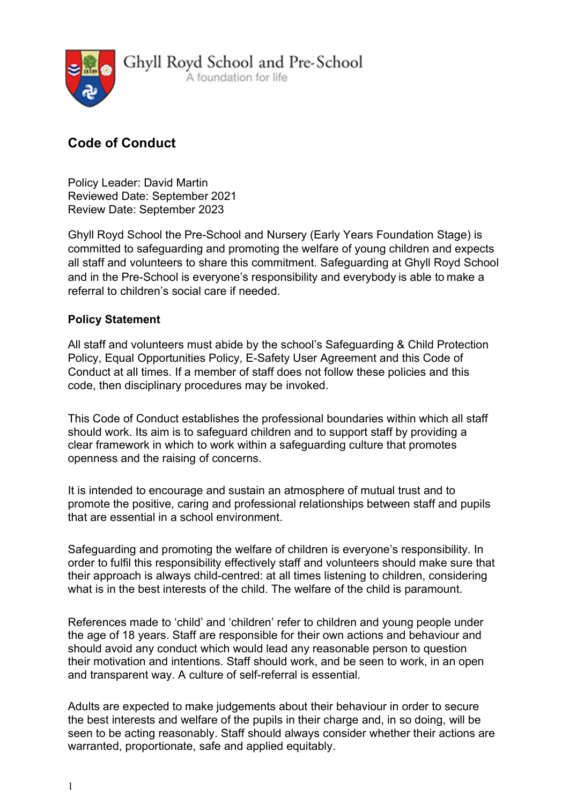

Ghyll Royd School and Pre-School

A foundation for life

# Code of Conduct

Policy Leader: David Martin Reviewed Date: September 2021 Review Date: September 2023

Ghyll Royd School the Pre-School and Nursery (Early Years Foundation Stage) is committed to safeguarding and promoting the welfare of young children and expects all staff and volunteers to share this commitment. Safeguarding at Ghyll Royd School and in the Pre-School is everyone's responsibility and everybody is able to make a referral to children's social care if needed.

# Policy Statement

All staff and volunteers must abide by the school's Safeguarding & Child Protection Policy, Equal Opportunities Policy, E-Safety User Agreement and this Code of Conduct at all times. If a member of staff does not follow these policies and this code, then disciplinary procedures may be invoked.

This Code of Conduct establishes the professional boundaries within which all staff should work. Its aim is to safeguard children and to support staff by providing a clear framework in which to work within a safeguarding culture that promotes openness and the raising of concerns.

It is intended to encourage and sustain an atmosphere of mutual trust and to promote the positive, caring and professional relationships between staff and pupils that are essential in a school environment.

Safeguarding and promoting the welfare of children is everyone's responsibility. In order to fulfil this responsibility effectively staff and volunteers should make sure that their approach is always child-centred: at all times listening to children, considering what is in the best interests of the child. The welfare of the child is paramount.

References made to 'child' and 'children' refer to children and young people under the age of 18 years. Staff are responsible for their own actions and behaviour and should avoid any conduct which would lead any reasonable person to question their motivation and intentions. Staff should work, and be seen to work, in an open and transparent way. A culture of self-referral is essential.

Adults are expected to make judgements about their behaviour in order to secure the best interests and welfare of the pupils in their charge and, in so doing, will be seen to be acting reasonably. Staff should always consider whether their actions are warranted, proportionate, safe and applied equitably.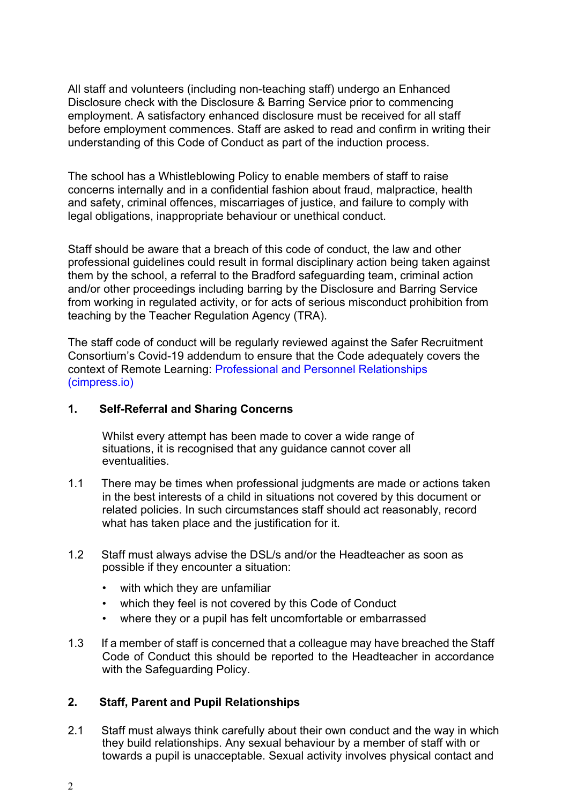All staff and volunteers (including non-teaching staff) undergo an Enhanced Disclosure check with the Disclosure & Barring Service prior to commencing employment. A satisfactory enhanced disclosure must be received for all staff before employment commences. Staff are asked to read and confirm in writing their understanding of this Code of Conduct as part of the induction process.

The school has a Whistleblowing Policy to enable members of staff to raise concerns internally and in a confidential fashion about fraud, malpractice, health and safety, criminal offences, miscarriages of justice, and failure to comply with legal obligations, inappropriate behaviour or unethical conduct.

Staff should be aware that a breach of this code of conduct, the law and other professional guidelines could result in formal disciplinary action being taken against them by the school, a referral to the Bradford safeguarding team, criminal action and/or other proceedings including barring by the Disclosure and Barring Service from working in regulated activity, or for acts of serious misconduct prohibition from teaching by the Teacher Regulation Agency (TRA).

The staff code of conduct will be regularly reviewed against the Safer Recruitment Consortium's Covid-19 addendum to ensure that the Code adequately covers the context of Remote Learning: Professional and Personnel Relationships (cimpress.io)

### 1. Self-Referral and Sharing Concerns

Whilst every attempt has been made to cover a wide range of situations, it is recognised that any guidance cannot cover all eventualities.

- 1.1 There may be times when professional judgments are made or actions taken in the best interests of a child in situations not covered by this document or related policies. In such circumstances staff should act reasonably, record what has taken place and the justification for it.
- 1.2 Staff must always advise the DSL/s and/or the Headteacher as soon as possible if they encounter a situation:
	- with which they are unfamiliar
	- which they feel is not covered by this Code of Conduct
	- where they or a pupil has felt uncomfortable or embarrassed
- 1.3 If a member of staff is concerned that a colleague may have breached the Staff Code of Conduct this should be reported to the Headteacher in accordance with the Safeguarding Policy.

# 2. Staff, Parent and Pupil Relationships

2.1 Staff must always think carefully about their own conduct and the way in which they build relationships. Any sexual behaviour by a member of staff with or towards a pupil is unacceptable. Sexual activity involves physical contact and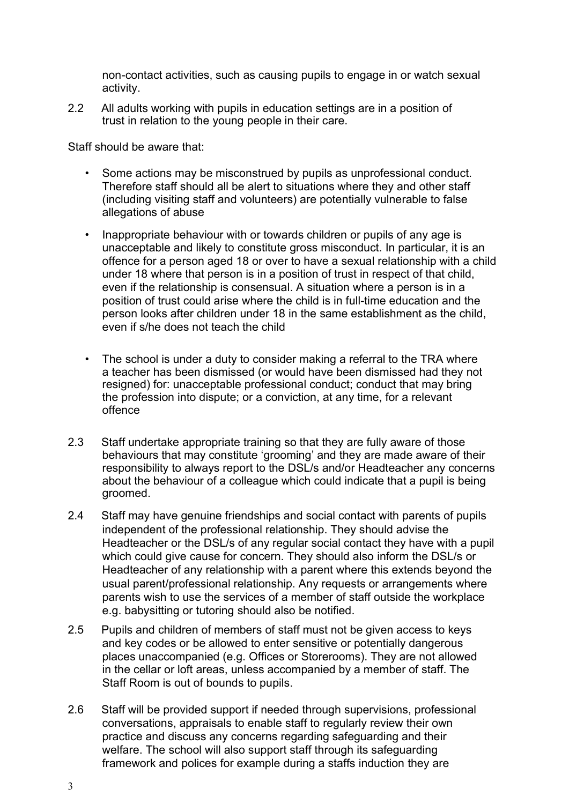non-contact activities, such as causing pupils to engage in or watch sexual activity.

2.2 All adults working with pupils in education settings are in a position of trust in relation to the young people in their care.

Staff should be aware that:

- Some actions may be misconstrued by pupils as unprofessional conduct. Therefore staff should all be alert to situations where they and other staff (including visiting staff and volunteers) are potentially vulnerable to false allegations of abuse
- Inappropriate behaviour with or towards children or pupils of any age is unacceptable and likely to constitute gross misconduct. In particular, it is an offence for a person aged 18 or over to have a sexual relationship with a child under 18 where that person is in a position of trust in respect of that child, even if the relationship is consensual. A situation where a person is in a position of trust could arise where the child is in full-time education and the person looks after children under 18 in the same establishment as the child, even if s/he does not teach the child
- The school is under a duty to consider making a referral to the TRA where a teacher has been dismissed (or would have been dismissed had they not resigned) for: unacceptable professional conduct; conduct that may bring the profession into dispute; or a conviction, at any time, for a relevant offence
- 2.3 Staff undertake appropriate training so that they are fully aware of those behaviours that may constitute 'grooming' and they are made aware of their responsibility to always report to the DSL/s and/or Headteacher any concerns about the behaviour of a colleague which could indicate that a pupil is being groomed.
- 2.4 Staff may have genuine friendships and social contact with parents of pupils independent of the professional relationship. They should advise the Headteacher or the DSL/s of any regular social contact they have with a pupil which could give cause for concern. They should also inform the DSL/s or Headteacher of any relationship with a parent where this extends beyond the usual parent/professional relationship. Any requests or arrangements where parents wish to use the services of a member of staff outside the workplace e.g. babysitting or tutoring should also be notified.
- 2.5 Pupils and children of members of staff must not be given access to keys and key codes or be allowed to enter sensitive or potentially dangerous places unaccompanied (e.g. Offices or Storerooms). They are not allowed in the cellar or loft areas, unless accompanied by a member of staff. The Staff Room is out of bounds to pupils.
- 2.6 Staff will be provided support if needed through supervisions, professional conversations, appraisals to enable staff to regularly review their own practice and discuss any concerns regarding safeguarding and their welfare. The school will also support staff through its safeguarding framework and polices for example during a staffs induction they are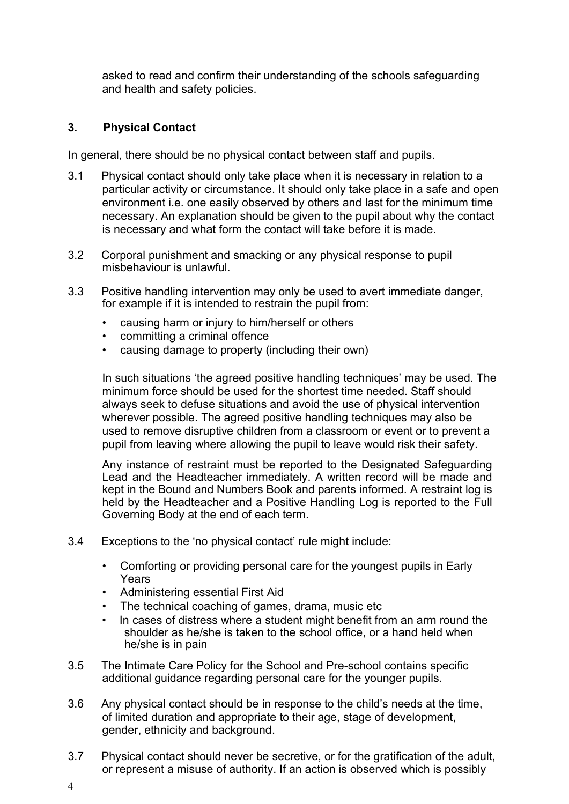asked to read and confirm their understanding of the schools safeguarding and health and safety policies.

## 3. Physical Contact

In general, there should be no physical contact between staff and pupils.

- 3.1 Physical contact should only take place when it is necessary in relation to a particular activity or circumstance. It should only take place in a safe and open environment i.e. one easily observed by others and last for the minimum time necessary. An explanation should be given to the pupil about why the contact is necessary and what form the contact will take before it is made.
- 3.2 Corporal punishment and smacking or any physical response to pupil misbehaviour is unlawful.
- 3.3 Positive handling intervention may only be used to avert immediate danger, for example if it is intended to restrain the pupil from:
	- causing harm or injury to him/herself or others
	- committing a criminal offence
	- causing damage to property (including their own)

In such situations 'the agreed positive handling techniques' may be used. The minimum force should be used for the shortest time needed. Staff should always seek to defuse situations and avoid the use of physical intervention wherever possible. The agreed positive handling techniques may also be used to remove disruptive children from a classroom or event or to prevent a pupil from leaving where allowing the pupil to leave would risk their safety.

Any instance of restraint must be reported to the Designated Safeguarding Lead and the Headteacher immediately. A written record will be made and kept in the Bound and Numbers Book and parents informed. A restraint log is held by the Headteacher and a Positive Handling Log is reported to the Full Governing Body at the end of each term.

- 3.4 Exceptions to the 'no physical contact' rule might include:
	- Comforting or providing personal care for the youngest pupils in Early Years
	- Administering essential First Aid
	- The technical coaching of games, drama, music etc
	- In cases of distress where a student might benefit from an arm round the shoulder as he/she is taken to the school office, or a hand held when he/she is in pain
- 3.5 The Intimate Care Policy for the School and Pre-school contains specific additional guidance regarding personal care for the younger pupils.
- 3.6 Any physical contact should be in response to the child's needs at the time, of limited duration and appropriate to their age, stage of development, gender, ethnicity and background.
- 3.7 Physical contact should never be secretive, or for the gratification of the adult, or represent a misuse of authority. If an action is observed which is possibly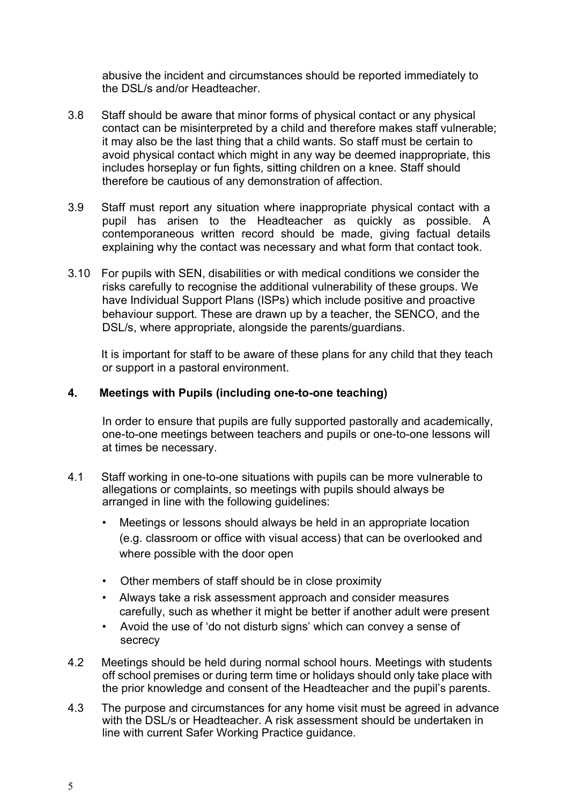abusive the incident and circumstances should be reported immediately to the DSL/s and/or Headteacher.

- 3.8 Staff should be aware that minor forms of physical contact or any physical contact can be misinterpreted by a child and therefore makes staff vulnerable; it may also be the last thing that a child wants. So staff must be certain to avoid physical contact which might in any way be deemed inappropriate, this includes horseplay or fun fights, sitting children on a knee. Staff should therefore be cautious of any demonstration of affection.
- 3.9 Staff must report any situation where inappropriate physical contact with a pupil has arisen to the Headteacher as quickly as possible. A contemporaneous written record should be made, giving factual details explaining why the contact was necessary and what form that contact took.
- 3.10 For pupils with SEN, disabilities or with medical conditions we consider the risks carefully to recognise the additional vulnerability of these groups. We have Individual Support Plans (ISPs) which include positive and proactive behaviour support. These are drawn up by a teacher, the SENCO, and the DSL/s, where appropriate, alongside the parents/guardians.

 It is important for staff to be aware of these plans for any child that they teach or support in a pastoral environment.

## 4. Meetings with Pupils (including one-to-one teaching)

In order to ensure that pupils are fully supported pastorally and academically, one-to-one meetings between teachers and pupils or one-to-one lessons will at times be necessary.

- 4.1 Staff working in one-to-one situations with pupils can be more vulnerable to allegations or complaints, so meetings with pupils should always be arranged in line with the following guidelines:
	- Meetings or lessons should always be held in an appropriate location (e.g. classroom or office with visual access) that can be overlooked and where possible with the door open
	- Other members of staff should be in close proximity
	- Always take a risk assessment approach and consider measures carefully, such as whether it might be better if another adult were present
	- Avoid the use of 'do not disturb signs' which can convey a sense of secrecy
- 4.2 Meetings should be held during normal school hours. Meetings with students off school premises or during term time or holidays should only take place with the prior knowledge and consent of the Headteacher and the pupil's parents.
- 4.3 The purpose and circumstances for any home visit must be agreed in advance with the DSL/s or Headteacher. A risk assessment should be undertaken in line with current Safer Working Practice guidance.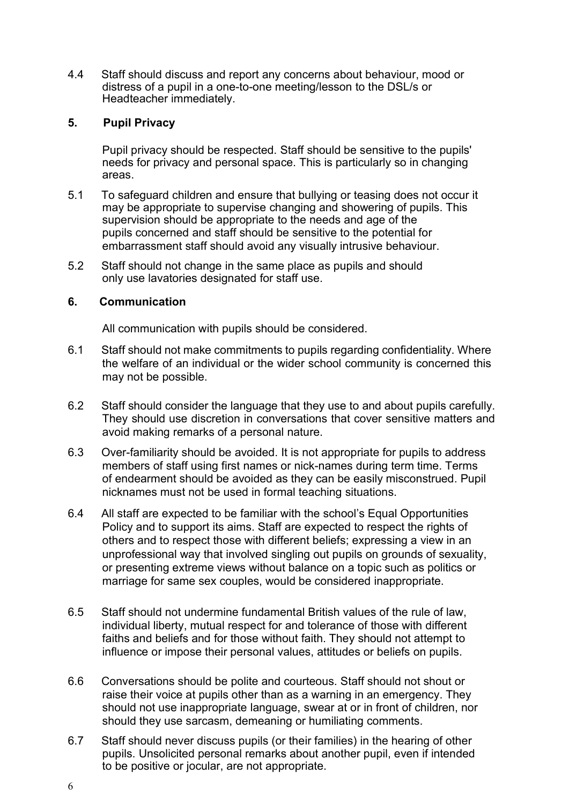4.4 Staff should discuss and report any concerns about behaviour, mood or distress of a pupil in a one-to-one meeting/lesson to the DSL/s or Headteacher immediately.

## 5. Pupil Privacy

Pupil privacy should be respected. Staff should be sensitive to the pupils' needs for privacy and personal space. This is particularly so in changing areas.

- 5.1 To safeguard children and ensure that bullying or teasing does not occur it may be appropriate to supervise changing and showering of pupils. This supervision should be appropriate to the needs and age of the pupils concerned and staff should be sensitive to the potential for embarrassment staff should avoid any visually intrusive behaviour.
- 5.2 Staff should not change in the same place as pupils and should only use lavatories designated for staff use.

#### 6. Communication

All communication with pupils should be considered.

- 6.1 Staff should not make commitments to pupils regarding confidentiality. Where the welfare of an individual or the wider school community is concerned this may not be possible.
- 6.2 Staff should consider the language that they use to and about pupils carefully. They should use discretion in conversations that cover sensitive matters and avoid making remarks of a personal nature.
- 6.3 Over-familiarity should be avoided. It is not appropriate for pupils to address members of staff using first names or nick-names during term time. Terms of endearment should be avoided as they can be easily misconstrued. Pupil nicknames must not be used in formal teaching situations.
- 6.4 All staff are expected to be familiar with the school's Equal Opportunities Policy and to support its aims. Staff are expected to respect the rights of others and to respect those with different beliefs; expressing a view in an unprofessional way that involved singling out pupils on grounds of sexuality, or presenting extreme views without balance on a topic such as politics or marriage for same sex couples, would be considered inappropriate.
- 6.5 Staff should not undermine fundamental British values of the rule of law, individual liberty, mutual respect for and tolerance of those with different faiths and beliefs and for those without faith. They should not attempt to influence or impose their personal values, attitudes or beliefs on pupils.
- 6.6 Conversations should be polite and courteous. Staff should not shout or raise their voice at pupils other than as a warning in an emergency. They should not use inappropriate language, swear at or in front of children, nor should they use sarcasm, demeaning or humiliating comments.
- 6.7 Staff should never discuss pupils (or their families) in the hearing of other pupils. Unsolicited personal remarks about another pupil, even if intended to be positive or jocular, are not appropriate.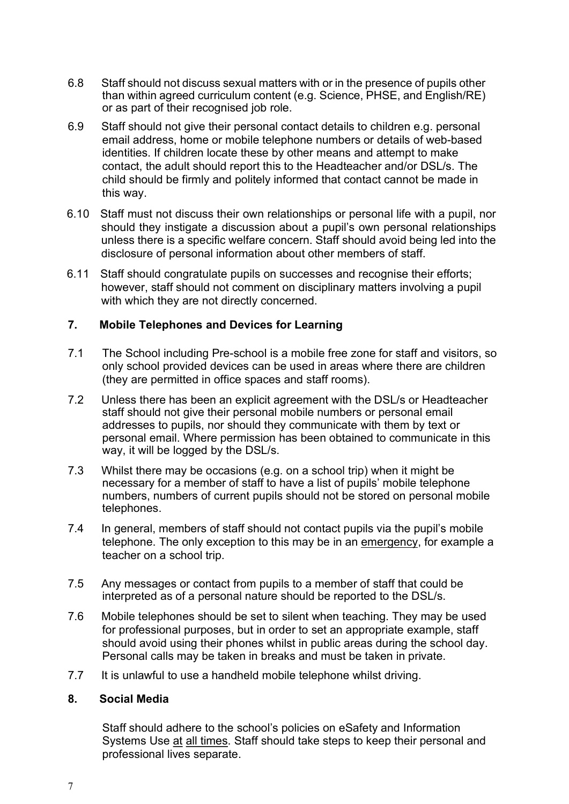- 6.8 Staff should not discuss sexual matters with or in the presence of pupils other than within agreed curriculum content (e.g. Science, PHSE, and English/RE) or as part of their recognised job role.
- 6.9 Staff should not give their personal contact details to children e.g. personal email address, home or mobile telephone numbers or details of web-based identities. If children locate these by other means and attempt to make contact, the adult should report this to the Headteacher and/or DSL/s. The child should be firmly and politely informed that contact cannot be made in this way.
- 6.10 Staff must not discuss their own relationships or personal life with a pupil, nor should they instigate a discussion about a pupil's own personal relationships unless there is a specific welfare concern. Staff should avoid being led into the disclosure of personal information about other members of staff.
- 6.11 Staff should congratulate pupils on successes and recognise their efforts; however, staff should not comment on disciplinary matters involving a pupil with which they are not directly concerned.

## 7. Mobile Telephones and Devices for Learning

- 7.1 The School including Pre-school is a mobile free zone for staff and visitors, so only school provided devices can be used in areas where there are children (they are permitted in office spaces and staff rooms).
- 7.2 Unless there has been an explicit agreement with the DSL/s or Headteacher staff should not give their personal mobile numbers or personal email addresses to pupils, nor should they communicate with them by text or personal email. Where permission has been obtained to communicate in this way, it will be logged by the DSL/s.
- 7.3 Whilst there may be occasions (e.g. on a school trip) when it might be necessary for a member of staff to have a list of pupils' mobile telephone numbers, numbers of current pupils should not be stored on personal mobile telephones.
- 7.4 In general, members of staff should not contact pupils via the pupil's mobile telephone. The only exception to this may be in an emergency, for example a teacher on a school trip.
- 7.5 Any messages or contact from pupils to a member of staff that could be interpreted as of a personal nature should be reported to the DSL/s.
- 7.6 Mobile telephones should be set to silent when teaching. They may be used for professional purposes, but in order to set an appropriate example, staff should avoid using their phones whilst in public areas during the school day. Personal calls may be taken in breaks and must be taken in private.
- 7.7 It is unlawful to use a handheld mobile telephone whilst driving.

### 8. Social Media

Staff should adhere to the school's policies on eSafety and Information Systems Use at all times. Staff should take steps to keep their personal and professional lives separate.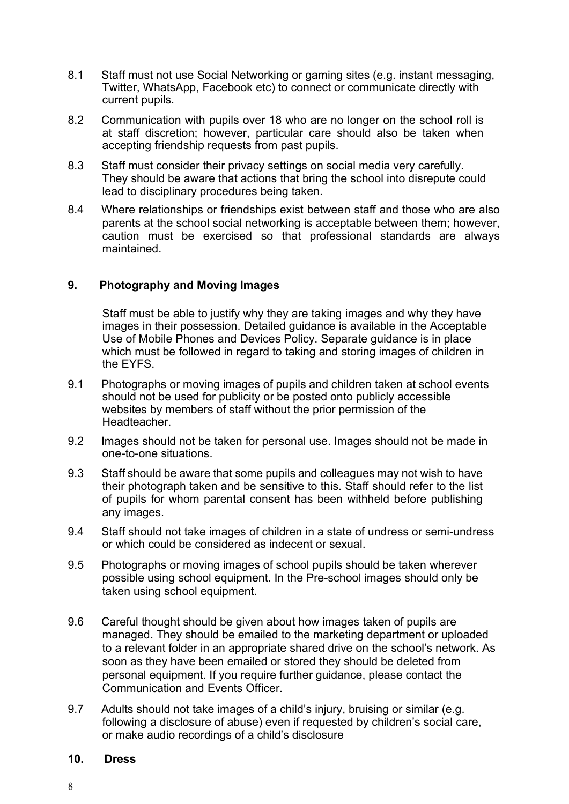- 8.1 Staff must not use Social Networking or gaming sites (e.g. instant messaging, Twitter, WhatsApp, Facebook etc) to connect or communicate directly with current pupils.
- 8.2 Communication with pupils over 18 who are no longer on the school roll is at staff discretion; however, particular care should also be taken when accepting friendship requests from past pupils.
- 8.3 Staff must consider their privacy settings on social media very carefully. They should be aware that actions that bring the school into disrepute could lead to disciplinary procedures being taken.
- 8.4 Where relationships or friendships exist between staff and those who are also parents at the school social networking is acceptable between them; however, caution must be exercised so that professional standards are always maintained.

### 9. Photography and Moving Images

Staff must be able to justify why they are taking images and why they have images in their possession. Detailed guidance is available in the Acceptable Use of Mobile Phones and Devices Policy. Separate guidance is in place which must be followed in regard to taking and storing images of children in the EYFS.

- 9.1 Photographs or moving images of pupils and children taken at school events should not be used for publicity or be posted onto publicly accessible websites by members of staff without the prior permission of the Headteacher.
- 9.2 Images should not be taken for personal use. Images should not be made in one-to-one situations.
- 9.3 Staff should be aware that some pupils and colleagues may not wish to have their photograph taken and be sensitive to this. Staff should refer to the list of pupils for whom parental consent has been withheld before publishing any images.
- 9.4 Staff should not take images of children in a state of undress or semi-undress or which could be considered as indecent or sexual.
- 9.5 Photographs or moving images of school pupils should be taken wherever possible using school equipment. In the Pre-school images should only be taken using school equipment.
- 9.6 Careful thought should be given about how images taken of pupils are managed. They should be emailed to the marketing department or uploaded to a relevant folder in an appropriate shared drive on the school's network. As soon as they have been emailed or stored they should be deleted from personal equipment. If you require further guidance, please contact the Communication and Events Officer.
- 9.7 Adults should not take images of a child's injury, bruising or similar (e.g. following a disclosure of abuse) even if requested by children's social care, or make audio recordings of a child's disclosure

#### 10. Dress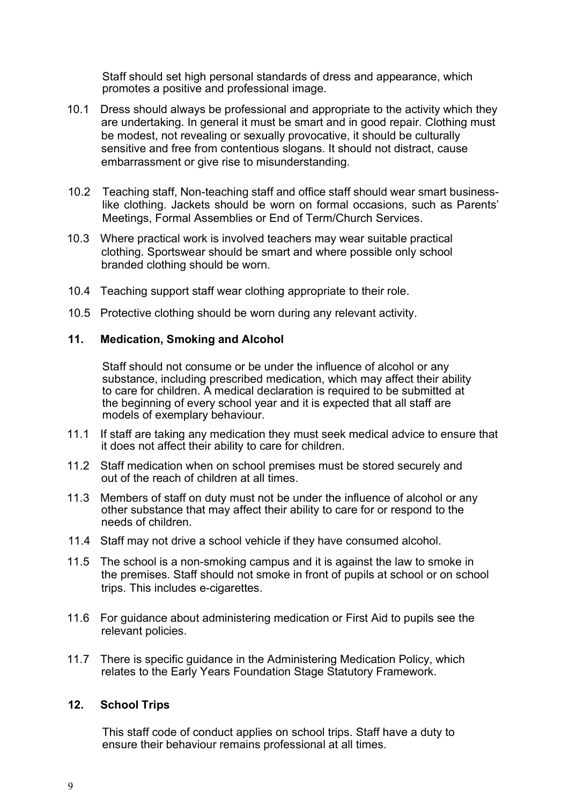Staff should set high personal standards of dress and appearance, which promotes a positive and professional image.

- 10.1 Dress should always be professional and appropriate to the activity which they are undertaking. In general it must be smart and in good repair. Clothing must be modest, not revealing or sexually provocative, it should be culturally sensitive and free from contentious slogans. It should not distract, cause embarrassment or give rise to misunderstanding.
- 10.2 Teaching staff, Non-teaching staff and office staff should wear smart businesslike clothing. Jackets should be worn on formal occasions, such as Parents' Meetings, Formal Assemblies or End of Term/Church Services.
- 10.3 Where practical work is involved teachers may wear suitable practical clothing. Sportswear should be smart and where possible only school branded clothing should be worn.
- 10.4 Teaching support staff wear clothing appropriate to their role.
- 10.5 Protective clothing should be worn during any relevant activity.

### 11. Medication, Smoking and Alcohol

Staff should not consume or be under the influence of alcohol or any substance, including prescribed medication, which may affect their ability to care for children. A medical declaration is required to be submitted at the beginning of every school year and it is expected that all staff are models of exemplary behaviour.

- 11.1 If staff are taking any medication they must seek medical advice to ensure that it does not affect their ability to care for children.
- 11.2 Staff medication when on school premises must be stored securely and out of the reach of children at all times.
- 11.3 Members of staff on duty must not be under the influence of alcohol or any other substance that may affect their ability to care for or respond to the needs of children.
- 11.4 Staff may not drive a school vehicle if they have consumed alcohol.
- 11.5 The school is a non-smoking campus and it is against the law to smoke in the premises. Staff should not smoke in front of pupils at school or on school trips. This includes e-cigarettes.
- 11.6 For guidance about administering medication or First Aid to pupils see the relevant policies.
- 11.7 There is specific guidance in the Administering Medication Policy, which relates to the Early Years Foundation Stage Statutory Framework.

#### 12. School Trips

This staff code of conduct applies on school trips. Staff have a duty to ensure their behaviour remains professional at all times.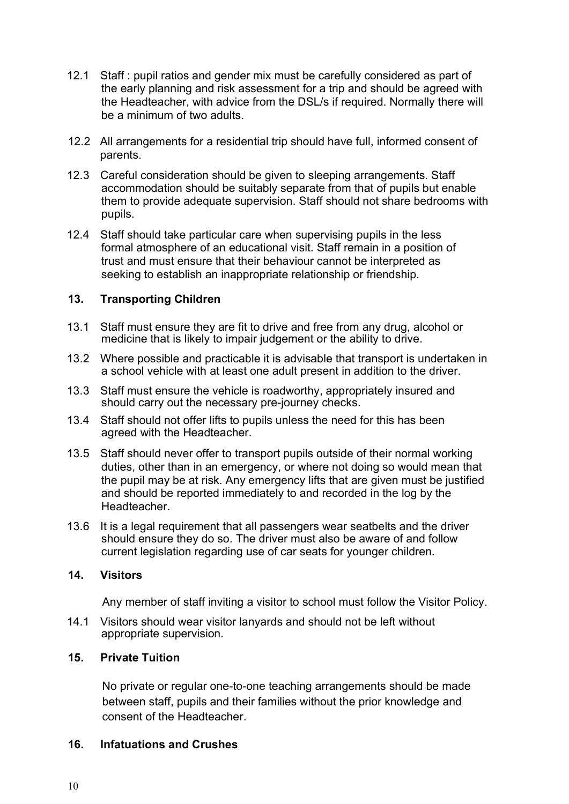- 12.1 Staff : pupil ratios and gender mix must be carefully considered as part of the early planning and risk assessment for a trip and should be agreed with the Headteacher, with advice from the DSL/s if required. Normally there will be a minimum of two adults.
- 12.2 All arrangements for a residential trip should have full, informed consent of parents.
- 12.3 Careful consideration should be given to sleeping arrangements. Staff accommodation should be suitably separate from that of pupils but enable them to provide adequate supervision. Staff should not share bedrooms with pupils.
- 12.4 Staff should take particular care when supervising pupils in the less formal atmosphere of an educational visit. Staff remain in a position of trust and must ensure that their behaviour cannot be interpreted as seeking to establish an inappropriate relationship or friendship.

### 13. Transporting Children

- 13.1 Staff must ensure they are fit to drive and free from any drug, alcohol or medicine that is likely to impair judgement or the ability to drive.
- 13.2 Where possible and practicable it is advisable that transport is undertaken in a school vehicle with at least one adult present in addition to the driver.
- 13.3 Staff must ensure the vehicle is roadworthy, appropriately insured and should carry out the necessary pre-journey checks.
- 13.4 Staff should not offer lifts to pupils unless the need for this has been agreed with the Headteacher.
- 13.5 Staff should never offer to transport pupils outside of their normal working duties, other than in an emergency, or where not doing so would mean that the pupil may be at risk. Any emergency lifts that are given must be justified and should be reported immediately to and recorded in the log by the Headteacher.
- 13.6 It is a legal requirement that all passengers wear seatbelts and the driver should ensure they do so. The driver must also be aware of and follow current legislation regarding use of car seats for younger children.

### 14. Visitors

Any member of staff inviting a visitor to school must follow the Visitor Policy.

14.1 Visitors should wear visitor lanyards and should not be left without appropriate supervision.

### 15. Private Tuition

No private or regular one-to-one teaching arrangements should be made between staff, pupils and their families without the prior knowledge and consent of the Headteacher.

### 16. Infatuations and Crushes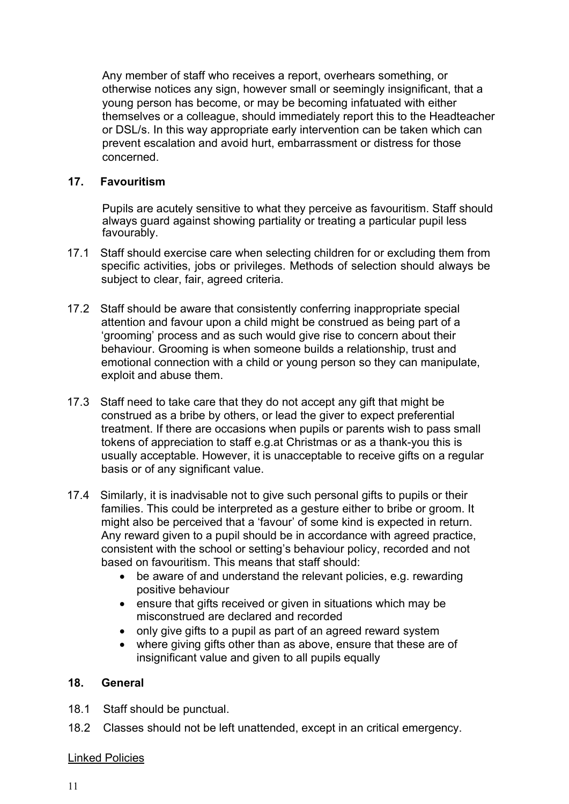Any member of staff who receives a report, overhears something, or otherwise notices any sign, however small or seemingly insignificant, that a young person has become, or may be becoming infatuated with either themselves or a colleague, should immediately report this to the Headteacher or DSL/s. In this way appropriate early intervention can be taken which can prevent escalation and avoid hurt, embarrassment or distress for those concerned.

## 17. Favouritism

Pupils are acutely sensitive to what they perceive as favouritism. Staff should always guard against showing partiality or treating a particular pupil less favourably.

- 17.1 Staff should exercise care when selecting children for or excluding them from specific activities, jobs or privileges. Methods of selection should always be subject to clear, fair, agreed criteria.
- 17.2 Staff should be aware that consistently conferring inappropriate special attention and favour upon a child might be construed as being part of a 'grooming' process and as such would give rise to concern about their behaviour. Grooming is when someone builds a relationship, trust and emotional connection with a child or young person so they can manipulate, exploit and abuse them.
- 17.3 Staff need to take care that they do not accept any gift that might be construed as a bribe by others, or lead the giver to expect preferential treatment. If there are occasions when pupils or parents wish to pass small tokens of appreciation to staff e.g.at Christmas or as a thank-you this is usually acceptable. However, it is unacceptable to receive gifts on a regular basis or of any significant value.
- 17.4 Similarly, it is inadvisable not to give such personal gifts to pupils or their families. This could be interpreted as a gesture either to bribe or groom. It might also be perceived that a 'favour' of some kind is expected in return. Any reward given to a pupil should be in accordance with agreed practice, consistent with the school or setting's behaviour policy, recorded and not based on favouritism. This means that staff should:
	- be aware of and understand the relevant policies, e.g. rewarding positive behaviour
	- ensure that gifts received or given in situations which may be misconstrued are declared and recorded
	- only give gifts to a pupil as part of an agreed reward system
	- where giving gifts other than as above, ensure that these are of insignificant value and given to all pupils equally

# 18. General

- 18.1 Staff should be punctual.
- 18.2 Classes should not be left unattended, except in an critical emergency.

# Linked Policies